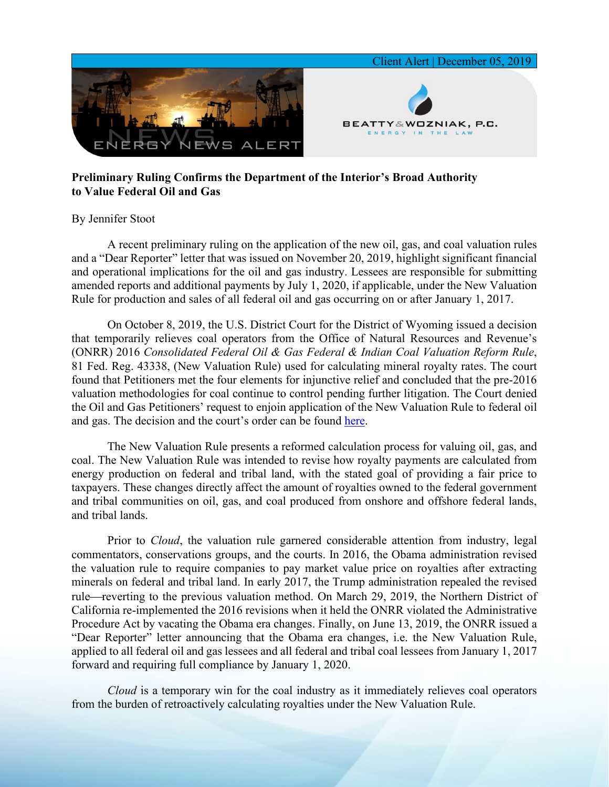

## **Preliminary Ruling Confirms the Department of the Interior's Broad Authority to Value Federal Oil and Gas**

## By Jennifer Stoot

A recent preliminary ruling on the application of the new oil, gas, and coal valuation rules and a "Dear Reporter" letter that was issued on November 20, 2019, highlight significant financial and operational implications for the oil and gas industry. Lessees are responsible for submitting amended reports and additional payments by July 1, 2020, if applicable, under the New Valuation Rule for production and sales of all federal oil and gas occurring on or after January 1, 2017.

On October 8, 2019, the U.S. District Court for the District of Wyoming issued a decision that temporarily relieves coal operators from the Office of Natural Resources and Revenue's (ONRR) 2016 *Consolidated Federal Oil & Gas Federal & Indian Coal Valuation Reform Rule*, 81 Fed. Reg. 43338, (New Valuation Rule) used for calculating mineral royalty rates. The court found that Petitioners met the four elements for injunctive relief and concluded that the pre-2016 valuation methodologies for coal continue to control pending further litigation. The Court denied the Oil and Gas Petitioners' request to enjoin application of the New Valuation Rule to federal oil and gas. The decision and the court's order can be found [here.](http://www.wyd.uscourts.gov/pdfforms/19cv120order.pdf)

The New Valuation Rule presents a reformed calculation process for valuing oil, gas, and coal. The New Valuation Rule was intended to revise how royalty payments are calculated from energy production on federal and tribal land, with the stated goal of providing a fair price to taxpayers. These changes directly affect the amount of royalties owned to the federal government and tribal communities on oil, gas, and coal produced from onshore and offshore federal lands, and tribal lands.

Prior to *Cloud*, the valuation rule garnered considerable attention from industry, legal commentators, conservations groups, and the courts. In 2016, the Obama administration revised the valuation rule to require companies to pay market value price on royalties after extracting minerals on federal and tribal land. In early 2017, the Trump administration repealed the revised rule—reverting to the previous valuation method. On March 29, 2019, the Northern District of California re-implemented the 2016 revisions when it held the ONRR violated the Administrative Procedure Act by vacating the Obama era changes. Finally, on June 13, 2019, the ONRR issued a "Dear Reporter" letter announcing that the Obama era changes, i.e. the New Valuation Rule, applied to all federal oil and gas lessees and all federal and tribal coal lessees from January 1, 2017 forward and requiring full compliance by January 1, 2020.

*Cloud* is a temporary win for the coal industry as it immediately relieves coal operators from the burden of retroactively calculating royalties under the New Valuation Rule.